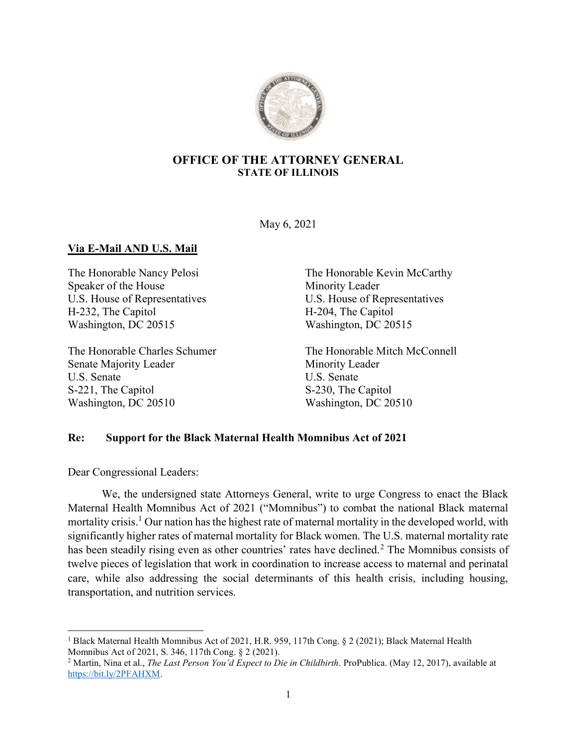

## OFFICE OF THE ATTORNEY GENERAL STATE OF ILLINOIS

May 6, 2021

## Via E-Mail AND U.S. Mail

Speaker of the House Minority Leader U.S. House of Representatives U.S. House of Representatives H-232, The Capitol H-204, The Capitol Washington, DC 20515 Washington, DC 20515

Senate Majority Leader Minority Leader U.S. Senate U.S. Senate S-221, The Capitol S-230, The Capitol Washington, DC 20510 Washington, DC 20510

The Honorable Nancy Pelosi The Honorable Kevin McCarthy

The Honorable Charles Schumer The Honorable Mitch McConnell

## Re: Support for the Black Maternal Health Momnibus Act of 2021

Dear Congressional Leaders:

We, the undersigned state Attorneys General, write to urge Congress to enact the Black Maternal Health Momnibus Act of 2021 ("Momnibus") to combat the national Black maternal mortality crisis.<sup>1</sup> Our nation has the highest rate of maternal mortality in the developed world, with significantly higher rates of maternal mortality for Black women. The U.S. maternal mortality rate has been steadily rising even as other countries' rates have declined.<sup>2</sup> The Momnibus consists of twelve pieces of legislation that work in coordination to increase access to maternal and perinatal care, while also addressing the social determinants of this health crisis, including housing, transportation, and nutrition services.

<sup>&</sup>lt;sup>1</sup> Black Maternal Health Momnibus Act of 2021, H.R. 959, 117th Cong. § 2 (2021); Black Maternal Health Momnibus Act of 2021, S. 346, 117th Cong. § 2 (2021).

<sup>&</sup>lt;sup>2</sup> Martin, Nina et al., *The Last Person You'd Expect to Die in Childbirth*. ProPublica. (May 12, 2017), available at https://bit.ly/2PFAHXM.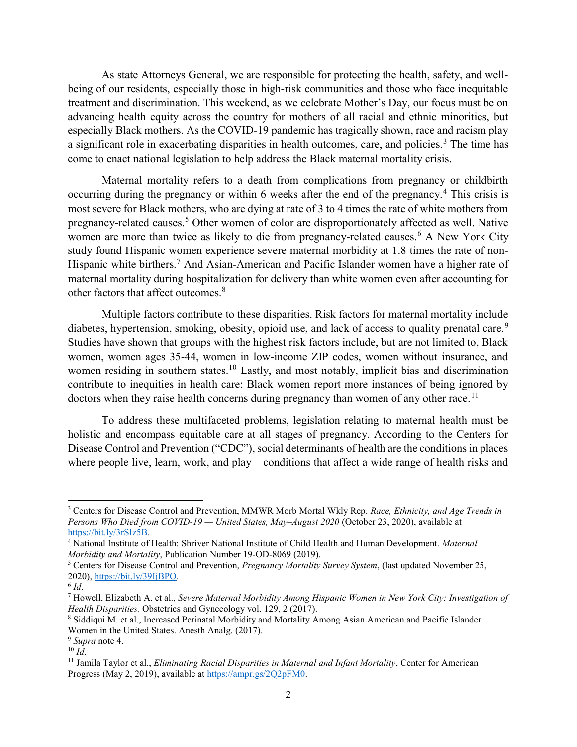As state Attorneys General, we are responsible for protecting the health, safety, and wellbeing of our residents, especially those in high-risk communities and those who face inequitable treatment and discrimination. This weekend, as we celebrate Mother's Day, our focus must be on advancing health equity across the country for mothers of all racial and ethnic minorities, but especially Black mothers. As the COVID-19 pandemic has tragically shown, race and racism play a significant role in exacerbating disparities in health outcomes, care, and policies.<sup>3</sup> The time has come to enact national legislation to help address the Black maternal mortality crisis.

Maternal mortality refers to a death from complications from pregnancy or childbirth occurring during the pregnancy or within 6 weeks after the end of the pregnancy.<sup>4</sup> This crisis is most severe for Black mothers, who are dying at rate of 3 to 4 times the rate of white mothers from pregnancy-related causes.<sup>5</sup> Other women of color are disproportionately affected as well. Native women are more than twice as likely to die from pregnancy-related causes.<sup>6</sup> A New York City study found Hispanic women experience severe maternal morbidity at 1.8 times the rate of non-Hispanic white birthers.<sup>7</sup> And Asian-American and Pacific Islander women have a higher rate of maternal mortality during hospitalization for delivery than white women even after accounting for other factors that affect outcomes.<sup>8</sup>

Multiple factors contribute to these disparities. Risk factors for maternal mortality include diabetes, hypertension, smoking, obesity, opioid use, and lack of access to quality prenatal care.<sup>9</sup> Studies have shown that groups with the highest risk factors include, but are not limited to, Black women, women ages 35-44, women in low-income ZIP codes, women without insurance, and women residing in southern states.<sup>10</sup> Lastly, and most notably, implicit bias and discrimination contribute to inequities in health care: Black women report more instances of being ignored by doctors when they raise health concerns during pregnancy than women of any other race.<sup>11</sup>

To address these multifaceted problems, legislation relating to maternal health must be holistic and encompass equitable care at all stages of pregnancy. According to the Centers for Disease Control and Prevention ("CDC"), social determinants of health are the conditions in places where people live, learn, work, and play – conditions that affect a wide range of health risks and

<sup>&</sup>lt;sup>3</sup> Centers for Disease Control and Prevention, MMWR Morb Mortal Wkly Rep. Race, Ethnicity, and Age Trends in Persons Who Died from COVID-19 — United States, May–August 2020 (October 23, 2020), available at https://bit.ly/3rSIz5B.

<sup>&</sup>lt;sup>4</sup> National Institute of Health: Shriver National Institute of Child Health and Human Development. Maternal Morbidity and Mortality, Publication Number 19-OD-8069 (2019).

<sup>&</sup>lt;sup>5</sup> Centers for Disease Control and Prevention, Pregnancy Mortality Survey System, (last updated November 25, 2020), https://bit.ly/39IjBPO.

 $^6$  Id.

<sup>&</sup>lt;sup>7</sup> Howell, Elizabeth A. et al., Severe Maternal Morbidity Among Hispanic Women in New York City: Investigation of Health Disparities. Obstetrics and Gynecology vol. 129, 2 (2017).

<sup>8</sup> Siddiqui M. et al., Increased Perinatal Morbidity and Mortality Among Asian American and Pacific Islander Women in the United States. Anesth Analg. (2017).

<sup>&</sup>lt;sup>9</sup> Supra note 4.

 $10 \overline{Id}$ .

<sup>&</sup>lt;sup>11</sup> Jamila Taylor et al., *Eliminating Racial Disparities in Maternal and Infant Mortality*, Center for American Progress (May 2, 2019), available at https://ampr.gs/2Q2pFM0.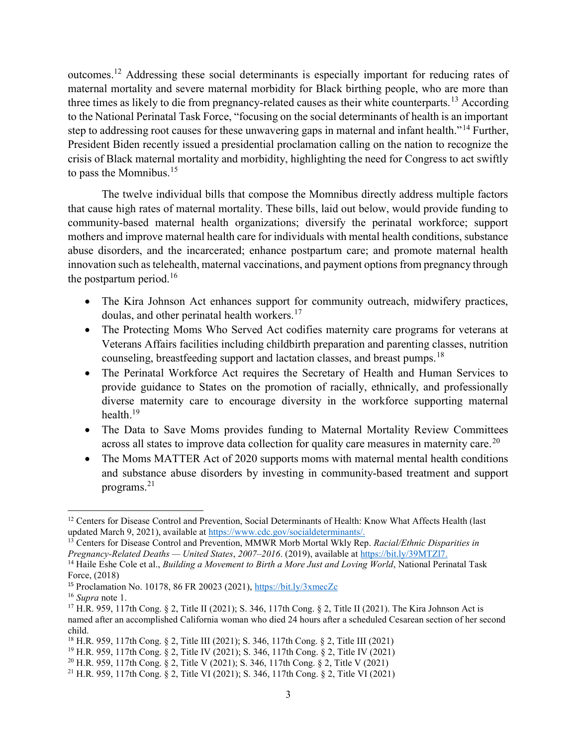outcomes.<sup>12</sup> Addressing these social determinants is especially important for reducing rates of maternal mortality and severe maternal morbidity for Black birthing people, who are more than three times as likely to die from pregnancy-related causes as their white counterparts.<sup>13</sup> According to the National Perinatal Task Force, "focusing on the social determinants of health is an important step to addressing root causes for these unwavering gaps in maternal and infant health."<sup>14</sup> Further, President Biden recently issued a presidential proclamation calling on the nation to recognize the crisis of Black maternal mortality and morbidity, highlighting the need for Congress to act swiftly to pass the Momnibus.<sup>15</sup>

The twelve individual bills that compose the Momnibus directly address multiple factors that cause high rates of maternal mortality. These bills, laid out below, would provide funding to community-based maternal health organizations; diversify the perinatal workforce; support mothers and improve maternal health care for individuals with mental health conditions, substance abuse disorders, and the incarcerated; enhance postpartum care; and promote maternal health innovation such as telehealth, maternal vaccinations, and payment options from pregnancy through the postpartum period.<sup>16</sup>

- The Kira Johnson Act enhances support for community outreach, midwifery practices, doulas, and other perinatal health workers.<sup>17</sup>
- The Protecting Moms Who Served Act codifies maternity care programs for veterans at Veterans Affairs facilities including childbirth preparation and parenting classes, nutrition counseling, breastfeeding support and lactation classes, and breast pumps.<sup>18</sup>
- The Perinatal Workforce Act requires the Secretary of Health and Human Services to provide guidance to States on the promotion of racially, ethnically, and professionally diverse maternity care to encourage diversity in the workforce supporting maternal health.<sup>19</sup>
- The Data to Save Moms provides funding to Maternal Mortality Review Committees across all states to improve data collection for quality care measures in maternity care.<sup>20</sup>
- The Moms MATTER Act of 2020 supports moms with maternal mental health conditions and substance abuse disorders by investing in community-based treatment and support programs. $^{21}$

  $12$  Centers for Disease Control and Prevention, Social Determinants of Health: Know What Affects Health (last updated March 9, 2021), available at https://www.cdc.gov/socialdeterminants/.

 $13$  Centers for Disease Control and Prevention, MMWR Morb Mortal Wkly Rep. Racial/Ethnic Disparities in Pregnancy-Related Deaths — United States, 2007–2016. (2019), available at https://bit.ly/39MTZl7.

<sup>&</sup>lt;sup>14</sup> Haile Eshe Cole et al., *Building a Movement to Birth a More Just and Loving World*, National Perinatal Task Force, (2018)

<sup>15</sup> Proclamation No. 10178, 86 FR 20023 (2021), https://bit.ly/3xmecZc

<sup>&</sup>lt;sup>16</sup> Supra note 1.

<sup>17</sup> H.R. 959, 117th Cong. § 2, Title II (2021); S. 346, 117th Cong. § 2, Title II (2021). The Kira Johnson Act is named after an accomplished California woman who died 24 hours after a scheduled Cesarean section of her second child.

<sup>18</sup> H.R. 959, 117th Cong. § 2, Title III (2021); S. 346, 117th Cong. § 2, Title III (2021)

<sup>19</sup> H.R. 959, 117th Cong. § 2, Title IV (2021); S. 346, 117th Cong. § 2, Title IV (2021)

<sup>20</sup> H.R. 959, 117th Cong. § 2, Title V (2021); S. 346, 117th Cong. § 2, Title V (2021)

<sup>21</sup> H.R. 959, 117th Cong. § 2, Title VI (2021); S. 346, 117th Cong. § 2, Title VI (2021)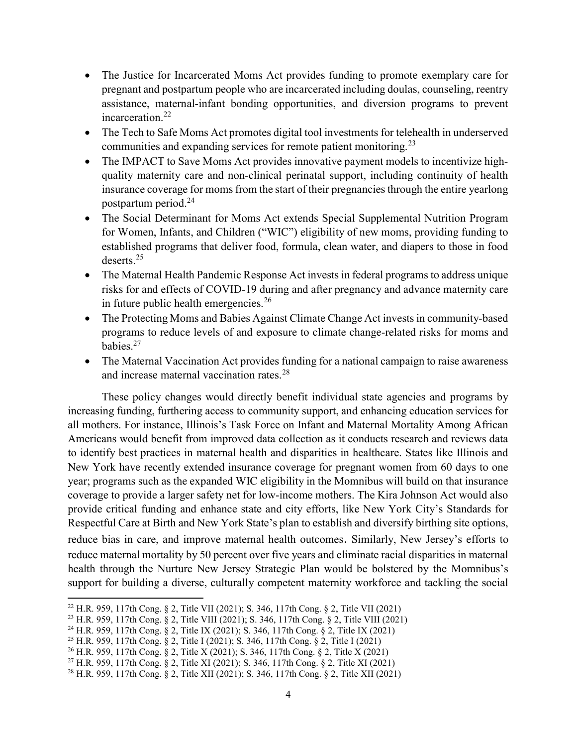- The Justice for Incarcerated Moms Act provides funding to promote exemplary care for pregnant and postpartum people who are incarcerated including doulas, counseling, reentry assistance, maternal-infant bonding opportunities, and diversion programs to prevent incarceration. $^{22}$
- The Tech to Safe Moms Act promotes digital tool investments for telehealth in underserved communities and expanding services for remote patient monitoring.<sup>23</sup>
- The IMPACT to Save Moms Act provides innovative payment models to incentivize highquality maternity care and non-clinical perinatal support, including continuity of health insurance coverage for moms from the start of their pregnancies through the entire yearlong postpartum period.<sup>24</sup>
- The Social Determinant for Moms Act extends Special Supplemental Nutrition Program for Women, Infants, and Children ("WIC") eligibility of new moms, providing funding to established programs that deliver food, formula, clean water, and diapers to those in food deserts.<sup>25</sup>
- The Maternal Health Pandemic Response Act invests in federal programs to address unique risks for and effects of COVID-19 during and after pregnancy and advance maternity care in future public health emergencies. $26$
- The Protecting Moms and Babies Against Climate Change Act invests in community-based programs to reduce levels of and exposure to climate change-related risks for moms and babies.<sup>27</sup>
- The Maternal Vaccination Act provides funding for a national campaign to raise awareness and increase maternal vaccination rates.<sup>28</sup>

These policy changes would directly benefit individual state agencies and programs by increasing funding, furthering access to community support, and enhancing education services for all mothers. For instance, Illinois's Task Force on Infant and Maternal Mortality Among African Americans would benefit from improved data collection as it conducts research and reviews data to identify best practices in maternal health and disparities in healthcare. States like Illinois and New York have recently extended insurance coverage for pregnant women from 60 days to one year; programs such as the expanded WIC eligibility in the Momnibus will build on that insurance coverage to provide a larger safety net for low-income mothers. The Kira Johnson Act would also provide critical funding and enhance state and city efforts, like New York City's Standards for Respectful Care at Birth and New York State's plan to establish and diversify birthing site options, reduce bias in care, and improve maternal health outcomes. Similarly, New Jersey's efforts to reduce maternal mortality by 50 percent over five years and eliminate racial disparities in maternal health through the Nurture New Jersey Strategic Plan would be bolstered by the Momnibus's support for building a diverse, culturally competent maternity workforce and tackling the social

<sup>22</sup> H.R. 959, 117th Cong. § 2, Title VII (2021); S. 346, 117th Cong. § 2, Title VII (2021)

<sup>23</sup> H.R. 959, 117th Cong. § 2, Title VIII (2021); S. 346, 117th Cong. § 2, Title VIII (2021)

<sup>24</sup> H.R. 959, 117th Cong. § 2, Title IX (2021); S. 346, 117th Cong. § 2, Title IX (2021)

<sup>25</sup> H.R. 959, 117th Cong. § 2, Title I (2021); S. 346, 117th Cong. § 2, Title I (2021)

<sup>26</sup> H.R. 959, 117th Cong. § 2, Title X (2021); S. 346, 117th Cong. § 2, Title X (2021)

<sup>27</sup> H.R. 959, 117th Cong. § 2, Title XI (2021); S. 346, 117th Cong. § 2, Title XI (2021)

<sup>28</sup> H.R. 959, 117th Cong. § 2, Title XII (2021); S. 346, 117th Cong. § 2, Title XII (2021)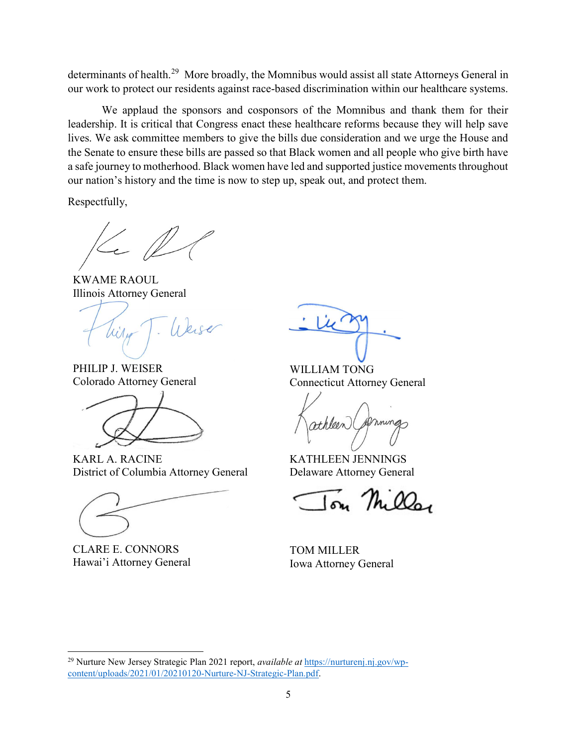determinants of health.<sup>29</sup> More broadly, the Momnibus would assist all state Attorneys General in our work to protect our residents against race-based discrimination within our healthcare systems.

We applaud the sponsors and cosponsors of the Momnibus and thank them for their leadership. It is critical that Congress enact these healthcare reforms because they will help save lives. We ask committee members to give the bills due consideration and we urge the House and the Senate to ensure these bills are passed so that Black women and all people who give birth have a safe journey to motherhood. Black women have led and supported justice movements throughout our nation's history and the time is now to step up, speak out, and protect them.

Respectfully,

 $\mathbb Z$ 

KWAME RAOUL Illinois Attorney General

Weiser

PHILIP J. WEISER Colorado Attorney General



KARL A. RACINE District of Columbia Attorney General

CLARE E. CONNORS Hawai'i Attorney General

 $\overline{a}$ 

WILLIAM TONG Connecticut Attorney General

ming Hilden

KATHLEEN JENNINGS Delaware Attorney General

 $\sqrt{m}$   $\sqrt{h}$   $\omega$ 

TOM MILLER Iowa Attorney General

<sup>&</sup>lt;sup>29</sup> Nurture New Jersey Strategic Plan 2021 report, *available at* https://nurturenj.nj.gov/wpcontent/uploads/2021/01/20210120-Nurture-NJ-Strategic-Plan.pdf.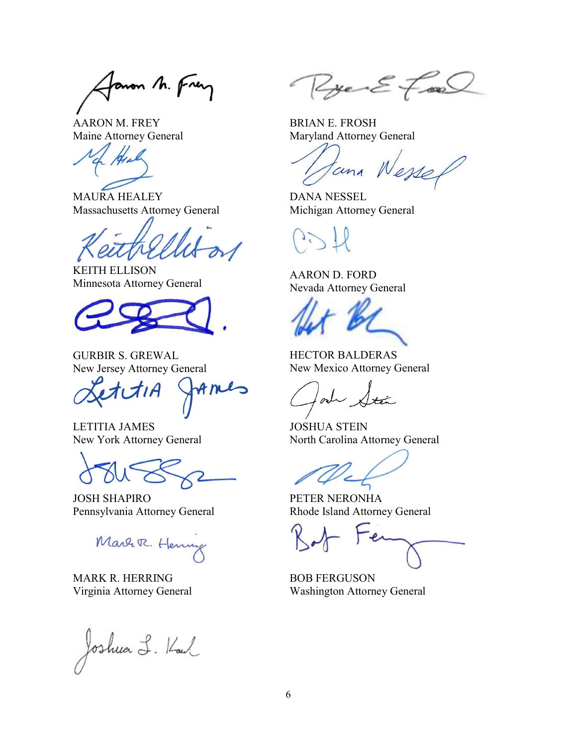Janon M. Frey

AARON M. FREY Maine Attorney General

MAURA HEALEY Massachusetts Attorney General

KEITH ELLISON Minnesota Attorney General

GURBIR S. GREWAL New Jersey Attorney General

Ame

LETITIA JAMES New York Attorney General

JOSH SHAPIRO Pennsylvania Attorney General

Marr R. Henry

MARK R. HERRING Virginia Attorney General

Joshua L. Kaul

Ryen E Fran

BRIAN E. FROSH Maryland Attorney General

tana Wessel

DANA NESSEL Michigan Attorney General

AARON D. FORD Nevada Attorney General

HECTOR BALDERAS New Mexico Attorney General

 $\lambda$ 

JOSHUA STEIN North Carolina Attorney General

PETER NERONHA Rhode Island Attorney General

BOB FERGUSON Washington Attorney General